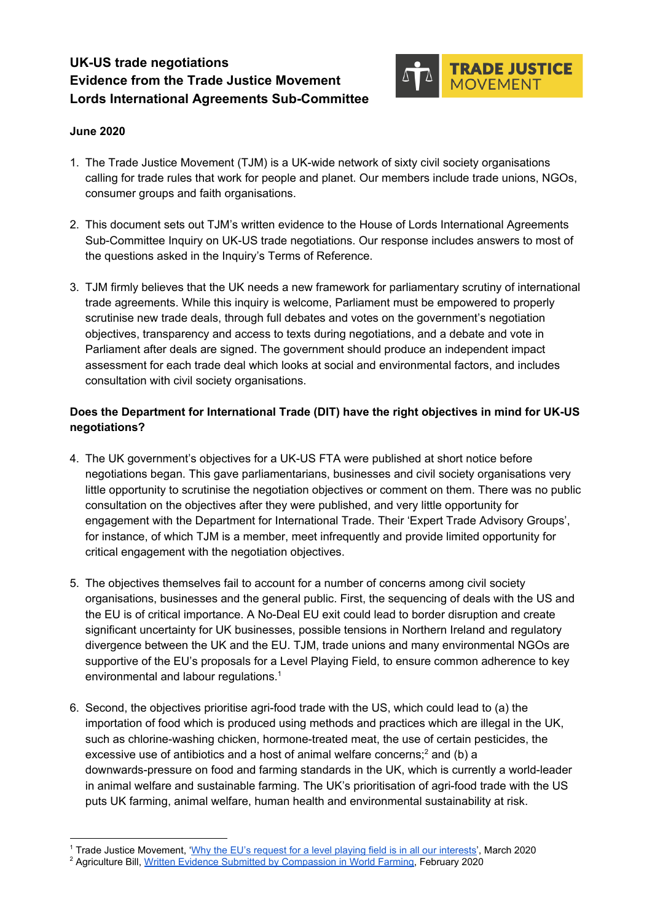# **UK-US trade negotiations Evidence from the Trade Justice Movement Lords International Agreements Sub-Committee**



## **June 2020**

- 1. The Trade Justice Movement (TJM) is a UK-wide network of sixty civil society organisations calling for trade rules that work for people and planet. Our members include trade unions, NGOs, consumer groups and faith organisations.
- 2. This document sets out TJM's written evidence to the House of Lords International Agreements Sub-Committee Inquiry on UK-US trade negotiations. Our response includes answers to most of the questions asked in the Inquiry's Terms of Reference.
- 3. TJM firmly believes that the UK needs a new framework for parliamentary scrutiny of international trade agreements. While this inquiry is welcome, Parliament must be empowered to properly scrutinise new trade deals, through full debates and votes on the government's negotiation objectives, transparency and access to texts during negotiations, and a debate and vote in Parliament after deals are signed. The government should produce an independent impact assessment for each trade deal which looks at social and environmental factors, and includes consultation with civil society organisations.

## **Does the Department for International Trade (DIT) have the right objectives in mind for UK-US negotiations?**

- 4. The UK government's objectives for a UK-US FTA were published at short notice before negotiations began. This gave parliamentarians, businesses and civil society organisations very little opportunity to scrutinise the negotiation objectives or comment on them. There was no public consultation on the objectives after they were published, and very little opportunity for engagement with the Department for International Trade. Their 'Expert Trade Advisory Groups', for instance, of which TJM is a member, meet infrequently and provide limited opportunity for critical engagement with the negotiation objectives.
- 5. The objectives themselves fail to account for a number of concerns among civil society organisations, businesses and the general public. First, the sequencing of deals with the US and the EU is of critical importance. A No-Deal EU exit could lead to border disruption and create significant uncertainty for UK businesses, possible tensions in Northern Ireland and regulatory divergence between the UK and the EU. TJM, trade unions and many environmental NGOs are supportive of the EU's proposals for a Level Playing Field, to ensure common adherence to key environmental and labour regulations.<sup>1</sup>
- 6. Second, the objectives prioritise agri-food trade with the US, which could lead to (a) the importation of food which is produced using methods and practices which are illegal in the UK, such as chlorine-washing chicken, hormone-treated meat, the use of certain pesticides, the excessive use of antibiotics and a host of animal welfare concerns; $^2$  and (b) a downwards-pressure on food and farming standards in the UK, which is currently a world-leader in animal welfare and sustainable farming. The UK's prioritisation of agri-food trade with the US puts UK farming, animal welfare, human health and environmental sustainability at risk.

<sup>&</sup>lt;sup>1</sup> Trade Justice Movement, '[Why the EU's request for a level playing field is in all our interests'](https://www.tjm.org.uk/blog/2020/why-the-eus-request-for-a-level-playing-field-is-in-all-our-interests), March 2020

<sup>&</sup>lt;sup>2</sup> Agriculture Bill, <u>Written Evidence Submitted by Compassion in World Farming</u>, February 2020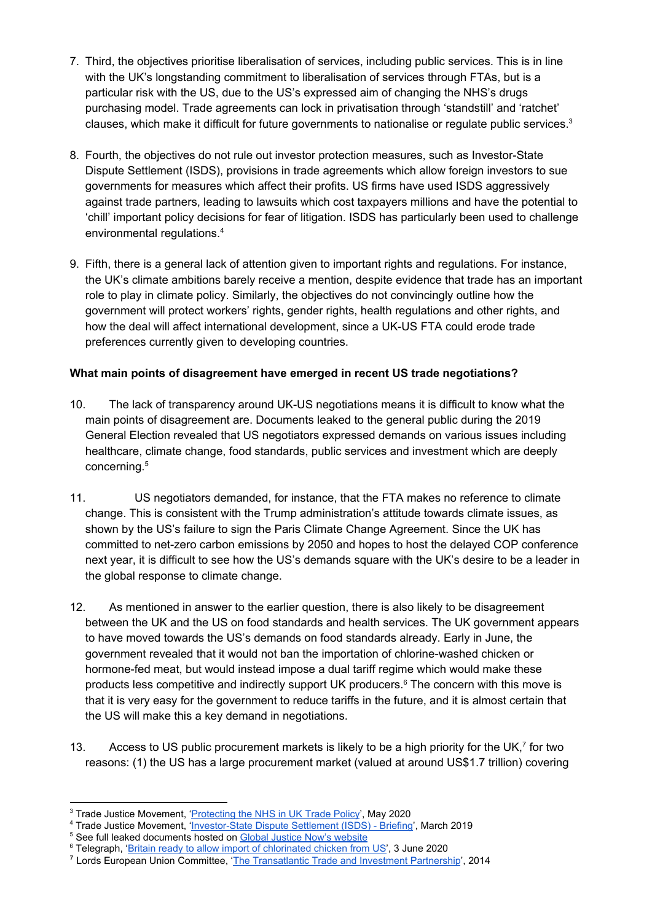- 7. Third, the objectives prioritise liberalisation of services, including public services. This is in line with the UK's longstanding commitment to liberalisation of services through FTAs, but is a particular risk with the US, due to the US's expressed aim of changing the NHS's drugs purchasing model. Trade agreements can lock in privatisation through 'standstill' and 'ratchet' clauses, which make it difficult for future governments to nationalise or regulate public services.<sup>3</sup>
- 8. Fourth, the objectives do not rule out investor protection measures, such as Investor-State Dispute Settlement (ISDS), provisions in trade agreements which allow foreign investors to sue governments for measures which affect their profits. US firms have used ISDS aggressively against trade partners, leading to lawsuits which cost taxpayers millions and have the potential to 'chill' important policy decisions for fear of litigation. ISDS has particularly been used to challenge environmental regulations.<sup>4</sup>
- 9. Fifth, there is a general lack of attention given to important rights and regulations. For instance, the UK's climate ambitions barely receive a mention, despite evidence that trade has an important role to play in climate policy. Similarly, the objectives do not convincingly outline how the government will protect workers' rights, gender rights, health regulations and other rights, and how the deal will affect international development, since a UK-US FTA could erode trade preferences currently given to developing countries.

## **What main points of disagreement have emerged in recent US trade negotiations?**

- 10. The lack of transparency around UK-US negotiations means it is difficult to know what the main points of disagreement are. Documents leaked to the general public during the 2019 General Election revealed that US negotiators expressed demands on various issues including healthcare, climate change, food standards, public services and investment which are deeply concerning.<sup>5</sup>
- 11. US negotiators demanded, for instance, that the FTA makes no reference to climate change. This is consistent with the Trump administration's attitude towards climate issues, as shown by the US's failure to sign the Paris Climate Change Agreement. Since the UK has committed to net-zero carbon emissions by 2050 and hopes to host the delayed COP conference next year, it is difficult to see how the US's demands square with the UK's desire to be a leader in the global response to climate change.
- 12. As mentioned in answer to the earlier question, there is also likely to be disagreement between the UK and the US on food standards and health services. The UK government appears to have moved towards the US's demands on food standards already. Early in June, the government revealed that it would not ban the importation of chlorine-washed chicken or hormone-fed meat, but would instead impose a dual tariff regime which would make these products less competitive and indirectly support UK producers.<sup>6</sup> The concern with this move is that it is very easy for the government to reduce tariffs in the future, and it is almost certain that the US will make this a key demand in negotiations.
- 13. Access to US public procurement markets is likely to be a high priority for the UK, $<sup>7</sup>$  for two</sup> reasons: (1) the US has a large procurement market (valued at around US\$1.7 trillion) covering

<sup>&</sup>lt;sup>3</sup> Trade Justice Movement, '*[Protecting the NHS in UK Trade Policy](https://www.tjm.org.uk/resources/briefings/protecting-the-nhs-in-uk-trade-policy)*', May 2020

<sup>&</sup>lt;sup>4</sup> Trade Justice Movement, '[Investor-State Dispute Settlement \(ISDS\) - Briefing'](https://docs.google.com/document/d/1H_LV64jGx5CHhYcSM163rLLl2UPBDVOEa3x2vdx9tNs/edit?usp=sharing), March 2019

<sup>&</sup>lt;sup>5</sup> See full leaked documents hosted on [Global Justice Now's website](https://www.globaljustice.org.uk/news/2019/nov/27/explosive-leaked-trade-papers-show-nhs-chlorinated-chicken-already-table-us-trade)

<sup>&</sup>lt;sup>6</sup> Telegraph, '[Britain ready to allow import of chlorinated chicken from US'](https://www.telegraph.co.uk/politics/2020/06/03/britain-ready-allow-import-chlorinated-chicken-us/), 3 June 2020

<sup>&</sup>lt;sup>7</sup> Lords European Union Committee, ['The Transatlantic Trade and Investment Partnership](https://publications.parliament.uk/pa/ld201314/ldselect/ldeucom/179/17902.htm)', 2014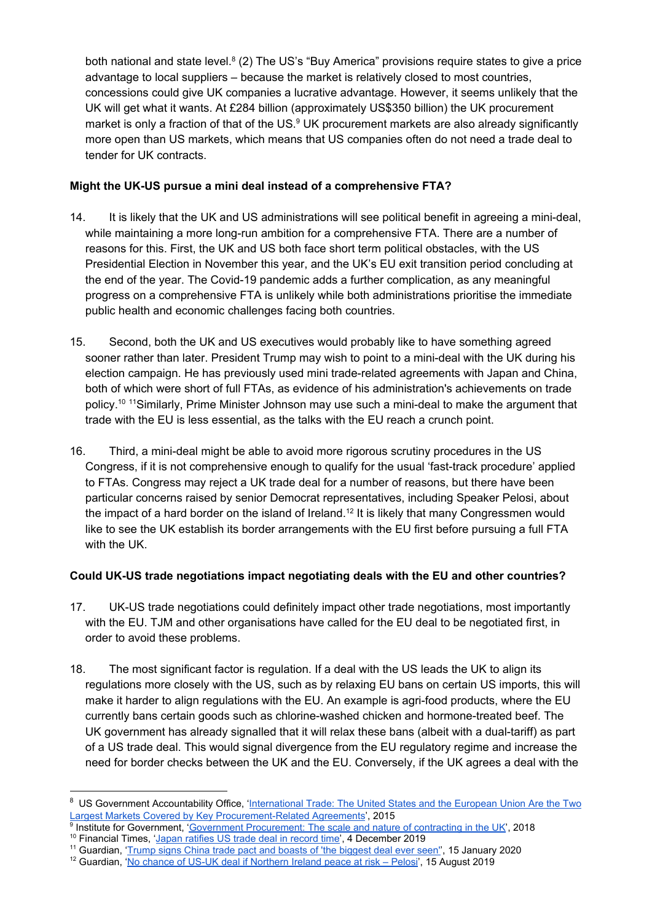both national and state level.<sup>8</sup> (2) The US's "Buy America" provisions require states to give a price advantage to local suppliers – because the market is relatively closed to most countries, concessions could give UK companies a lucrative advantage. However, it seems unlikely that the UK will get what it wants. At £284 billion (approximately US\$350 billion) the UK procurement market is only a fraction of that of the US. $9$  UK procurement markets are also already significantly more open than US markets, which means that US companies often do not need a trade deal to tender for UK contracts.

## **Might the UK-US pursue a mini deal instead of a comprehensive FTA?**

- 14. It is likely that the UK and US administrations will see political benefit in agreeing a mini-deal, while maintaining a more long-run ambition for a comprehensive FTA. There are a number of reasons for this. First, the UK and US both face short term political obstacles, with the US Presidential Election in November this year, and the UK's EU exit transition period concluding at the end of the year. The Covid-19 pandemic adds a further complication, as any meaningful progress on a comprehensive FTA is unlikely while both administrations prioritise the immediate public health and economic challenges facing both countries.
- 15. Second, both the UK and US executives would probably like to have something agreed sooner rather than later. President Trump may wish to point to a mini-deal with the UK during his election campaign. He has previously used mini trade-related agreements with Japan and China, both of which were short of full FTAs, as evidence of his administration's achievements on trade policy.<sup>10</sup> <sup>11</sup>Similarly, Prime Minister Johnson may use such a mini-deal to make the argument that trade with the EU is less essential, as the talks with the EU reach a crunch point.
- 16. Third, a mini-deal might be able to avoid more rigorous scrutiny procedures in the US Congress, if it is not comprehensive enough to qualify for the usual 'fast-track procedure' applied to FTAs. Congress may reject a UK trade deal for a number of reasons, but there have been particular concerns raised by senior Democrat representatives, including Speaker Pelosi, about the impact of a hard border on the island of Ireland.<sup>12</sup> It is likely that many Congressmen would like to see the UK establish its border arrangements with the EU first before pursuing a full FTA with the UK.

## **Could UK-US trade negotiations impact negotiating deals with the EU and other countries?**

- 17. UK-US trade negotiations could definitely impact other trade negotiations, most importantly with the EU. TJM and other organisations have called for the EU deal to be negotiated first, in order to avoid these problems.
- 18. The most significant factor is regulation. If a deal with the US leads the UK to align its regulations more closely with the US, such as by relaxing EU bans on certain US imports, this will make it harder to align regulations with the EU. An example is agri-food products, where the EU currently bans certain goods such as chlorine-washed chicken and hormone-treated beef. The UK government has already signalled that it will relax these bans (albeit with a dual-tariff) as part of a US trade deal. This would signal divergence from the EU regulatory regime and increase the need for border checks between the UK and the EU. Conversely, if the UK agrees a deal with the

<sup>&</sup>lt;sup>8</sup> US Government Accountability Office, '[International Trade: The United States and the European Union Are the Two](https://www.gao.gov/products/GAO-15-717) [Largest Markets Covered by Key Procurement-Related Agreements](https://www.gao.gov/products/GAO-15-717)', 2015

<sup>&</sup>lt;sup>9</sup> Institute for Government, '[Government Procurement: The scale and nature of contracting in the UK](https://www.instituteforgovernment.org.uk/publications/government-procurement)', 2018

<sup>&</sup>lt;sup>10</sup> Financial Times, '[Japan ratifies US trade deal in record time'](https://www.ft.com/content/01240552-166d-11ea-9ee4-11f260415385), 4 December 2019

<sup>&</sup>lt;sup>11</sup> Guardian, ['Trump signs China trade pact and boasts of 'the biggest deal ever seen''](https://www.theguardian.com/business/2020/jan/15/us-china-trade-deal-donald-trump), 15 January 2020

<sup>&</sup>lt;sup>12</sup> Guardian, '<u>No chance of US-UK deal if Northern Ireland peace at risk – Pelosi</u>', 15 August 2019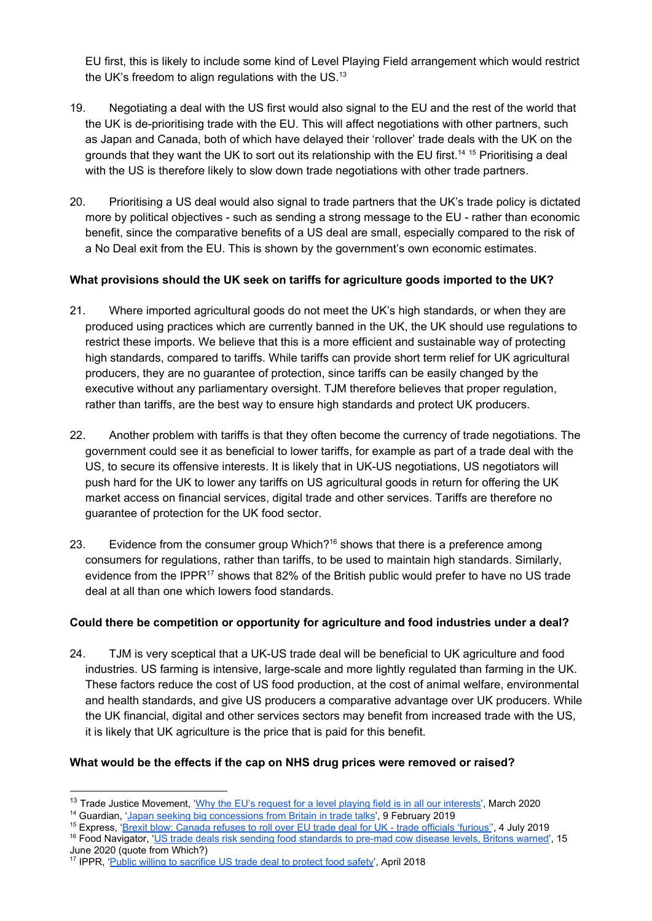EU first, this is likely to include some kind of Level Playing Field arrangement which would restrict the UK's freedom to align regulations with the US.<sup>13</sup>

- 19. Negotiating a deal with the US first would also signal to the EU and the rest of the world that the UK is de-prioritising trade with the EU. This will affect negotiations with other partners, such as Japan and Canada, both of which have delayed their 'rollover' trade deals with the UK on the grounds that they want the UK to sort out its relationship with the EU first.<sup>14 15</sup> Prioritising a deal with the US is therefore likely to slow down trade negotiations with other trade partners.
- 20. Prioritising a US deal would also signal to trade partners that the UK's trade policy is dictated more by political objectives - such as sending a strong message to the EU - rather than economic benefit, since the comparative benefits of a US deal are small, especially compared to the risk of a No Deal exit from the EU. This is shown by the government's own economic estimates.

### **What provisions should the UK seek on tariffs for agriculture goods imported to the UK?**

- 21. Where imported agricultural goods do not meet the UK's high standards, or when they are produced using practices which are currently banned in the UK, the UK should use regulations to restrict these imports. We believe that this is a more efficient and sustainable way of protecting high standards, compared to tariffs. While tariffs can provide short term relief for UK agricultural producers, they are no guarantee of protection, since tariffs can be easily changed by the executive without any parliamentary oversight. TJM therefore believes that proper regulation, rather than tariffs, are the best way to ensure high standards and protect UK producers.
- 22. Another problem with tariffs is that they often become the currency of trade negotiations. The government could see it as beneficial to lower tariffs, for example as part of a trade deal with the US, to secure its offensive interests. It is likely that in UK-US negotiations, US negotiators will push hard for the UK to lower any tariffs on US agricultural goods in return for offering the UK market access on financial services, digital trade and other services. Tariffs are therefore no guarantee of protection for the UK food sector.
- 23. Evidence from the consumer group Which?<sup>16</sup> shows that there is a preference among consumers for regulations, rather than tariffs, to be used to maintain high standards. Similarly, evidence from the IPPR<sup>17</sup> shows that 82% of the British public would prefer to have no US trade deal at all than one which lowers food standards.

## **Could there be competition or opportunity for agriculture and food industries under a deal?**

24. TJM is very sceptical that a UK-US trade deal will be beneficial to UK agriculture and food industries. US farming is intensive, large-scale and more lightly regulated than farming in the UK. These factors reduce the cost of US food production, at the cost of animal welfare, environmental and health standards, and give US producers a comparative advantage over UK producers. While the UK financial, digital and other services sectors may benefit from increased trade with the US, it is likely that UK agriculture is the price that is paid for this benefit.

## **What would be the effects if the cap on NHS drug prices were removed or raised?**

<sup>15</sup> Express, '[Brexit blow: Canada refuses to roll over EU trade deal for UK - trade officials 'furious''](https://www.express.co.uk/news/politics/1148480/brexit-news-uk-eu-trade-agreement-canada-justin-trudeau-liam-fox-no-deal-brexit-latest), 4 July 2019

<sup>&</sup>lt;sup>13</sup> Trade Justice Movement, '[Why the EU's request for a level playing field is in all our interests'](https://www.tjm.org.uk/blog/2020/why-the-eus-request-for-a-level-playing-field-is-in-all-our-interests), March 2020

<sup>&</sup>lt;sup>14</sup> Guardian, ['Japan seeking big concessions from Britain in trade talks](https://www.theguardian.com/politics/2019/feb/08/japan-seeking-big-concessions-from-britain-in-trade-talks-eu-brexit)', 9 February 2019

<sup>&</sup>lt;sup>16</sup> Food Navigator, '[US trade deals risk sending food standards to pre-mad cow disease levels, Britons warned'](https://www.foodnavigator.com/Article/2020/06/15/US-trade-deals-risk-sending-food-standards-to-pre-mad-cow-disease-levels-Britons-warned?), 15 June 2020 (quote from Which?)

<sup>&</sup>lt;sup>17</sup> IPPR, '*[Public willing to sacrifice US trade deal to protect food safety'](https://www.ippr.org/news-and-media/press-releases/public-willing-to-sacrifice-us-trade-deal-to-protect-food-safety)*, April 2018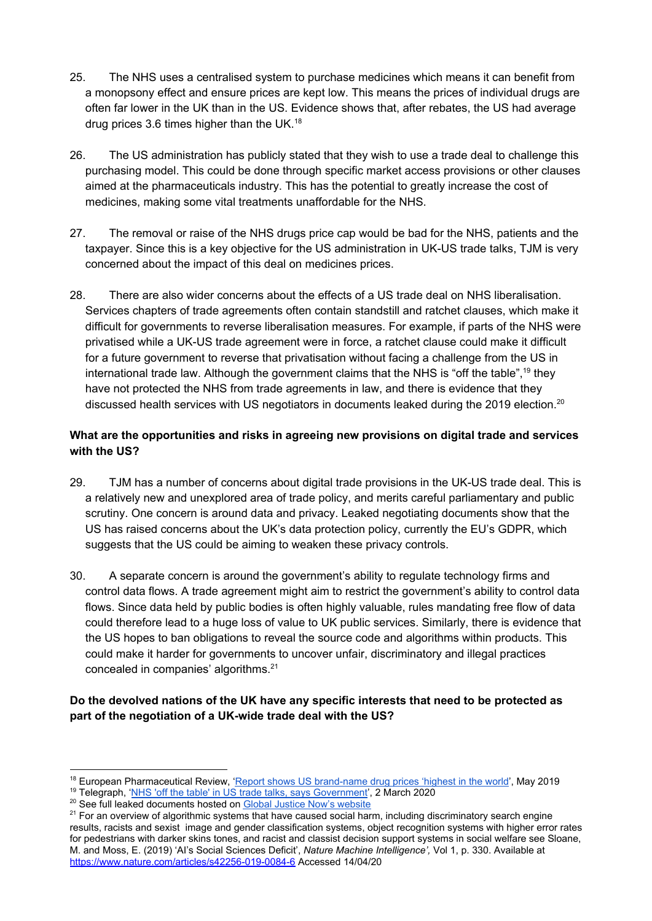- 25. The NHS uses a centralised system to purchase medicines which means it can benefit from a monopsony effect and ensure prices are kept low. This means the prices of individual drugs are often far lower in the UK than in the US. Evidence shows that, after rebates, the US had average drug prices 3.6 times higher than the UK.<sup>18</sup>
- 26. The US administration has publicly stated that they wish to use a trade deal to challenge this purchasing model. This could be done through specific market access provisions or other clauses aimed at the pharmaceuticals industry. This has the potential to greatly increase the cost of medicines, making some vital treatments unaffordable for the NHS.
- 27. The removal or raise of the NHS drugs price cap would be bad for the NHS, patients and the taxpayer. Since this is a key objective for the US administration in UK-US trade talks, TJM is very concerned about the impact of this deal on medicines prices.
- 28. There are also wider concerns about the effects of a US trade deal on NHS liberalisation. Services chapters of trade agreements often contain standstill and ratchet clauses, which make it difficult for governments to reverse liberalisation measures. For example, if parts of the NHS were privatised while a UK-US trade agreement were in force, a ratchet clause could make it difficult for a future government to reverse that privatisation without facing a challenge from the US in international trade law. Although the government claims that the NHS is "off the table",<sup>19</sup> they have not protected the NHS from trade agreements in law, and there is evidence that they discussed health services with US negotiators in documents leaked during the 2019 election.<sup>20</sup>

## **What are the opportunities and risks in agreeing new provisions on digital trade and services with the US?**

- 29. TJM has a number of concerns about digital trade provisions in the UK-US trade deal. This is a relatively new and unexplored area of trade policy, and merits careful parliamentary and public scrutiny. One concern is around data and privacy. Leaked negotiating documents show that the US has raised concerns about the UK's data protection policy, currently the EU's GDPR, which suggests that the US could be aiming to weaken these privacy controls.
- 30. A separate concern is around the government's ability to regulate technology firms and control data flows. A trade agreement might aim to restrict the government's ability to control data flows. Since data held by public bodies is often highly valuable, rules mandating free flow of data could therefore lead to a huge loss of value to UK public services. Similarly, there is evidence that the US hopes to ban obligations to reveal the source code and algorithms within products. This could make it harder for governments to uncover unfair, discriminatory and illegal practices concealed in companies' algorithms.<sup>21</sup>

## **Do the devolved nations of the UK have any specific interests that need to be protected as part of the negotiation of a UK-wide trade deal with the US?**

<sup>&</sup>lt;sup>18</sup> European Pharmaceutical Review, '[Report shows US brand-name drug prices 'highest in the world](https://www.europeanpharmaceuticalreview.com/news/87383/us-drug-prices-highest-world/)', May 2019

<sup>&</sup>lt;sup>19</sup> Telegraph, '[NHS 'off the table' in US trade talks, says Government](https://www.telegraph.co.uk/politics/2020/03/02/government-says-nhs-table-trade-talks-us/)', 2 March 2020

<sup>&</sup>lt;sup>20</sup> See full leaked documents hosted on [Global Justice Now's website](https://www.globaljustice.org.uk/news/2019/nov/27/explosive-leaked-trade-papers-show-nhs-chlorinated-chicken-already-table-us-trade)

<sup>&</sup>lt;sup>21</sup> For an overview of algorithmic systems that have caused social harm, including discriminatory search engine results, racists and sexist image and gender classification systems, object recognition systems with higher error rates for pedestrians with darker skins tones, and racist and classist decision support systems in social welfare see Sloane, M. and Moss, E. (2019) 'AI's Social Sciences Deficit', *Nature Machine Intelligence',* Vol 1, p. 330. Available at <https://www.nature.com/articles/s42256-019-0084-6> Accessed 14/04/20